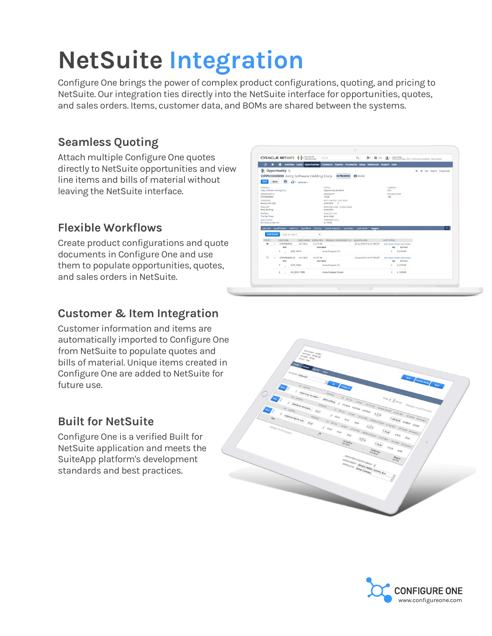# **NetSuite Integration**

Configure One brings the power of complex product configurations, quoting, and pricing to NetSuite. Our integration ties directly into the NetSuite interface for opportunities, quotes, and sales orders. Items, customer data, and BOMs are shared between the systems.

ORACLE NETSUITE <sup>1</sup><sup>1</sup>

OPP00000890 Astry Software Holding Corp **Sack O D** Artions

→ → <del>△</del> Activiti **Copportunity** Q

# **Seamless Quoting**

Attach multiple Configure One quotes directly to NetSuite opportunities and view line items and bills of material without leaving the NetSuite interface.

## **Flexible Workflows**

Create product configurations and quote documents in Configure One and use them to populate opportunities, quotes, and sales orders in NetSuite.

### **Customer & Item Integration**

Customer information and items are automatically imported to Configure One from NetSuite to populate quotes and bills of material. Unique items created in Configure One are added to NetSuite for future use.

#### **Built for NetSuite**

Configure One is a verified Built for NetSuite application and meets the SuiteApp platform's development standards and best practices.



 $B = 0$  for  $B = 0$ 

\$1,548.00

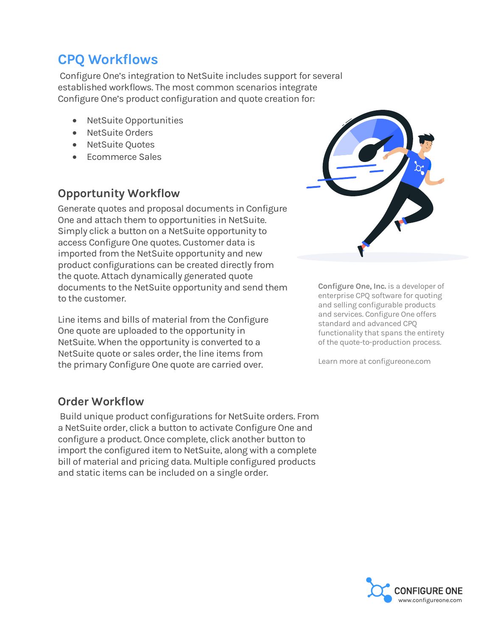# **CPQ Workflows**

Configure One's integration to NetSuite includes support for several established workflows. The most common scenarios integrate Configure One's product configuration and quote creation for:

- NetSuite Opportunities
- **NetSuite Orders**
- NetSuite Quotes
- Ecommerce Sales

#### **Opportunity Workflow**

Generate quotes and proposal documents in Configure One and attach them to opportunities in NetSuite. Simply click a button on a NetSuite opportunity to access Configure One quotes. Customer data is imported from the NetSuite opportunity and new product configurations can be created directly from the quote. Attach dynamically generated quote documents to the NetSuite opportunity and send them to the customer.

Line items and bills of material from the Configure One quote are uploaded to the opportunity in NetSuite. When the opportunity is converted to a NetSuite quote or sales order, the line items from the primary Configure One quote are carried over.

**Order Workflow**

Build unique product configurations for NetSuite orders. From a NetSuite order, click a button to activate Configure One and configure a product. Once complete, click another button to import the configured item to NetSuite, along with a complete bill of material and pricing data. Multiple configured products and static items can be included on a single order.



**Configure One, Inc.** is a developer of enterprise CPQ software for quoting and selling configurable products and services. Configure One offers standard and advanced CPQ functionality that spans the entirety of the quote-to-production process.

Learn more at configureone.com